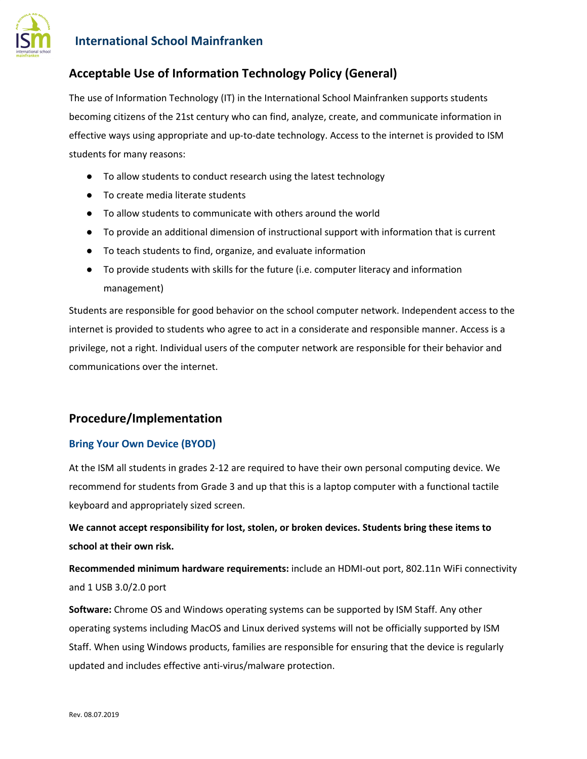

# **International School Mainfranken**

# **Acceptable Use of Information Technology Policy (General)**

The use of Information Technology (IT) in the International School Mainfranken supports students becoming citizens of the 21st century who can find, analyze, create, and communicate information in effective ways using appropriate and up-to-date technology. Access to the internet is provided to ISM students for many reasons:

- To allow students to conduct research using the latest technology
- To create media literate students
- To allow students to communicate with others around the world
- To provide an additional dimension of instructional support with information that is current
- To teach students to find, organize, and evaluate information
- To provide students with skills for the future (i.e. computer literacy and information management)

Students are responsible for good behavior on the school computer network. Independent access to the internet is provided to students who agree to act in a considerate and responsible manner. Access is a privilege, not a right. Individual users of the computer network are responsible for their behavior and communications over the internet.

## **Procedure/Implementation**

#### **Bring Your Own Device (BYOD)**

At the ISM all students in grades 2-12 are required to have their own personal computing device. We recommend for students from Grade 3 and up that this is a laptop computer with a functional tactile keyboard and appropriately sized screen.

**We cannot accept responsibility for lost, stolen, or broken devices. Students bring these items to school at their own risk.**

**Recommended minimum hardware requirements:** include an HDMI-out port, 802.11n WiFi connectivity and 1 USB 3.0/2.0 port

**Software:** Chrome OS and Windows operating systems can be supported by ISM Staff. Any other operating systems including MacOS and Linux derived systems will not be officially supported by ISM Staff. When using Windows products, families are responsible for ensuring that the device is regularly updated and includes effective anti-virus/malware protection.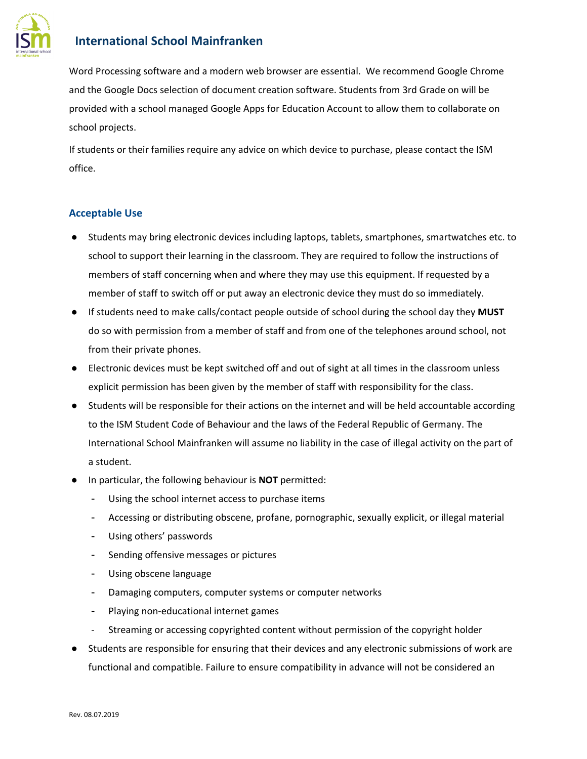

## **International School Mainfranken**

Word Processing software and a modern web browser are essential. We recommend Google Chrome and the Google Docs selection of document creation software. Students from 3rd Grade on will be provided with a school managed Google Apps for Education Account to allow them to collaborate on school projects.

If students or their families require any advice on which device to purchase, please contact the ISM office.

### **Acceptable Use**

- Students may bring electronic devices including laptops, tablets, smartphones, smartwatches etc. to school to support their learning in the classroom. They are required to follow the instructions of members of staff concerning when and where they may use this equipment. If requested by a member of staff to switch off or put away an electronic device they must do so immediately.
- If students need to make calls/contact people outside of school during the school day they **MUST** do so with permission from a member of staff and from one of the telephones around school, not from their private phones.
- Electronic devices must be kept switched off and out of sight at all times in the classroom unless explicit permission has been given by the member of staff with responsibility for the class.
- Students will be responsible for their actions on the internet and will be held accountable according to the ISM Student Code of Behaviour and the laws of the Federal Republic of Germany. The International School Mainfranken will assume no liability in the case of illegal activity on the part of a student.
- In particular, the following behaviour is **NOT** permitted:
	- Using the school internet access to purchase items
	- Accessing or distributing obscene, profane, pornographic, sexually explicit, or illegal material
	- Using others' passwords
	- Sending offensive messages or pictures
	- Using obscene language
	- Damaging computers, computer systems or computer networks
	- Playing non-educational internet games
	- Streaming or accessing copyrighted content without permission of the copyright holder
- Students are responsible for ensuring that their devices and any electronic submissions of work are functional and compatible. Failure to ensure compatibility in advance will not be considered an